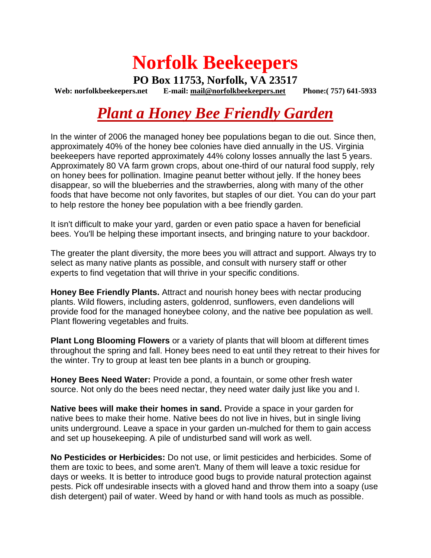# **Norfolk Beekeepers**

**PO Box 11753, Norfolk, VA 23517 Web: norfolkbeekeepers.net E-mail: [mail@norfolkbeekeepers.net](mailto:mail@norfolkbeekeepers.net) Phone:( 757) 641-5933**

## *Plant a Honey Bee Friendly Garden*

In the winter of 2006 the managed honey bee populations began to die out. Since then, approximately 40% of the honey bee colonies have died annually in the US. Virginia beekeepers have reported approximately 44% colony losses annually the last 5 years. Approximately 80 VA farm grown crops, about one-third of our natural food supply, rely on honey bees for pollination. Imagine peanut better without jelly. If the honey bees disappear, so will the blueberries and the strawberries, along with many of the other foods that have become not only favorites, but staples of our diet. You can do your part to help restore the honey bee population with a bee friendly garden.

It isn't difficult to make your yard, garden or even patio space a haven for beneficial bees. You'll be helping these important insects, and bringing nature to your backdoor.

The greater the plant diversity, the more bees you will attract and support. Always try to select as many native plants as possible, and consult with nursery staff or other experts to find vegetation that will thrive in your specific conditions.

**Honey Bee Friendly Plants.** Attract and nourish honey bees with nectar producing plants. Wild flowers, including asters, goldenrod, sunflowers, even dandelions will provide food for the managed honeybee colony, and the native bee population as well. Plant flowering vegetables and fruits.

**Plant Long Blooming Flowers** or a variety of plants that will bloom at different times throughout the spring and fall. Honey bees need to eat until they retreat to their hives for the winter. Try to group at least ten bee plants in a bunch or grouping.

**Honey Bees Need Water:** Provide a pond, a fountain, or some other fresh water source. Not only do the bees need nectar, they need water daily just like you and I.

**Native bees will make their homes in sand.** Provide a space in your garden for native bees to make their home. Native bees do not live in hives, but in single living units underground. Leave a space in your garden un-mulched for them to gain access and set up housekeeping. A pile of undisturbed sand will work as well.

**No Pesticides or Herbicides:** Do not use, or limit pesticides and herbicides. Some of them are toxic to bees, and some aren't. Many of them will leave a toxic residue for days or weeks. It is better to introduce good bugs to provide natural protection against pests. Pick off undesirable insects with a gloved hand and throw them into a soapy (use dish detergent) pail of water. Weed by hand or with hand tools as much as possible.